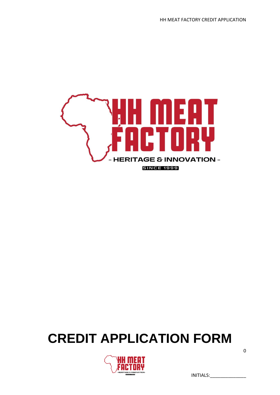

# **CREDIT APPLICATION FORM**



INITIALS:\_\_\_\_\_\_\_\_\_\_\_\_\_\_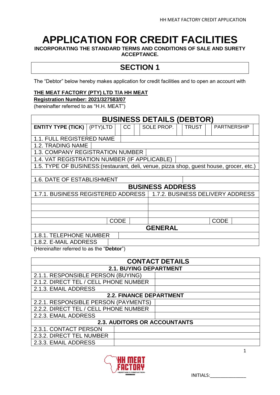# **APPLICATION FOR CREDIT FACILITIES**

**INCORPORATING THE STANDARD TERMS AND CONDITIONS OF SALE AND SURETY ACCEPTANCE.**

# **SECTION 1**

The "Debtor" below hereby makes application for credit facilities and to open an account with

## **THE MEAT FACTORY (PTY) LTD T/A HH MEAT**

#### **Registration Number: 2021/327583/07**

(hereinafter referred to as "H.H. MEAT")

| <b>BUSINESS DETAILS (DEBTOR)</b>                                                        |          |    |  |            |  |              |             |                    |  |
|-----------------------------------------------------------------------------------------|----------|----|--|------------|--|--------------|-------------|--------------------|--|
| <b>ENTITY TYPE (TICK)</b>                                                               | (PTY)LTD | CC |  | SOLE PROP. |  | <b>TRUST</b> |             | <b>PARTNERSHIP</b> |  |
|                                                                                         |          |    |  |            |  |              |             |                    |  |
| 1.1. FULL REGISTERED NAME                                                               |          |    |  |            |  |              |             |                    |  |
| 1.2. TRADING NAME                                                                       |          |    |  |            |  |              |             |                    |  |
| 1.3. COMPANY REGISTRATION NUMBER                                                        |          |    |  |            |  |              |             |                    |  |
| 1.4. VAT REGISTRATION NUMBER (IF APPLICABLE)                                            |          |    |  |            |  |              |             |                    |  |
| 1.5. TYPE OF BUSINESS: (restaurant, deli, venue, pizza shop, guest house, grocer, etc.) |          |    |  |            |  |              |             |                    |  |
|                                                                                         |          |    |  |            |  |              |             |                    |  |
| 1.6. DATE OF ESTABLISHMENT                                                              |          |    |  |            |  |              |             |                    |  |
| <b>BUSINESS ADDRESS</b>                                                                 |          |    |  |            |  |              |             |                    |  |
| 1.7.1. BUSINESS REGISTERED ADDRESS<br>1.7.2. BUSINESS DELIVERY ADDRESS                  |          |    |  |            |  |              |             |                    |  |
|                                                                                         |          |    |  |            |  |              |             |                    |  |
|                                                                                         |          |    |  |            |  |              |             |                    |  |
|                                                                                         |          |    |  |            |  |              |             |                    |  |
| <b>CODE</b>                                                                             |          |    |  |            |  |              | <b>CODE</b> |                    |  |
| <b>GENERAL</b>                                                                          |          |    |  |            |  |              |             |                    |  |
| 1.8.1. TELEPHONE NUMBER                                                                 |          |    |  |            |  |              |             |                    |  |
| 1.8.2. E-MAIL ADDRESS                                                                   |          |    |  |            |  |              |             |                    |  |

(Hereinafter referred to as the "**Debtor**")

| <b>CONTACT DETAILS</b>                |  |  |  |  |
|---------------------------------------|--|--|--|--|
| <b>2.1. BUYING DEPARTMENT</b>         |  |  |  |  |
| 2.1.1. RESPONSIBLE PERSON (BUYING)    |  |  |  |  |
| 2.1.2. DIRECT TEL / CELL PHONE NUMBER |  |  |  |  |
| 2.1.3. EMAIL ADDRESS                  |  |  |  |  |
| 2.2. FINANCE DEPARTMENT               |  |  |  |  |
| 2.2.1. RESPONSIBLE PERSON (PAYMENTS)  |  |  |  |  |
| 2.2.2. DIRECT TEL / CELL PHONE NUMBER |  |  |  |  |
| 2.2.3. EMAIL ADDRESS                  |  |  |  |  |
| <b>2.3. AUDITORS OR ACCOUNTANTS</b>   |  |  |  |  |
| 2.3.1. CONTACT PERSON                 |  |  |  |  |
| 2.3.2. DIRECT TEL NUMBER              |  |  |  |  |
| 2.3.3. EMAIL ADDRESS                  |  |  |  |  |

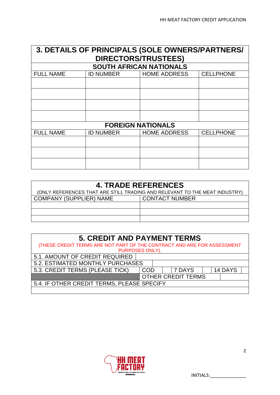| 3. DETAILS OF PRINCIPALS (SOLE OWNERS/PARTNERS/ |                            |                                |                  |  |  |  |
|-------------------------------------------------|----------------------------|--------------------------------|------------------|--|--|--|
|                                                 | <b>DIRECTORS/TRUSTEES)</b> |                                |                  |  |  |  |
|                                                 |                            | <b>SOUTH AFRICAN NATIONALS</b> |                  |  |  |  |
| <b>FULL NAME</b>                                | <b>ID NUMBER</b>           | <b>HOME ADDRESS</b>            | <b>CELLPHONE</b> |  |  |  |
|                                                 |                            |                                |                  |  |  |  |
|                                                 |                            |                                |                  |  |  |  |
|                                                 |                            |                                |                  |  |  |  |
|                                                 |                            |                                |                  |  |  |  |
|                                                 |                            | <b>FOREIGN NATIONALS</b>       |                  |  |  |  |
| <b>FULL NAME</b>                                | <b>ID NUMBER</b>           | <b>HOME ADDRESS</b>            | <b>CELLPHONE</b> |  |  |  |
|                                                 |                            |                                |                  |  |  |  |
|                                                 |                            |                                |                  |  |  |  |
|                                                 |                            |                                |                  |  |  |  |

| <b>4. TRADE REFERENCES</b>                                                 |                       |  |  |  |
|----------------------------------------------------------------------------|-----------------------|--|--|--|
| (ONLY REFERENCES THAT ARE STILL TRADING AND RELEVANT TO THE MEAT INDUSTRY) |                       |  |  |  |
| <b>COMPANY (SUPPLIER) NAME</b>                                             | <b>CONTACT NUMBER</b> |  |  |  |
|                                                                            |                       |  |  |  |
|                                                                            |                       |  |  |  |
|                                                                            |                       |  |  |  |

| <b>5. CREDIT AND PAYMENT TERMS</b>                                      |                           |  |        |  |         |  |
|-------------------------------------------------------------------------|---------------------------|--|--------|--|---------|--|
| (THESE CREDIT TERMS ARE NOT PART OF THE CONTRACT AND ARE FOR ASSESSMENT |                           |  |        |  |         |  |
| PURPOSES ONLY).                                                         |                           |  |        |  |         |  |
| 5.1. AMOUNT OF CREDIT REQUIRED                                          |                           |  |        |  |         |  |
| 5.2. ESTIMATED MONTHLY PURCHASES                                        |                           |  |        |  |         |  |
| 5.3. CREDIT TERMS (PLEASE TICK)                                         | COD                       |  | 7 DAYS |  | 14 DAYS |  |
|                                                                         | <b>OTHER CREDIT TERMS</b> |  |        |  |         |  |
| 5.4. IF OTHER CREDIT TERMS, PLEASE SPECIFY                              |                           |  |        |  |         |  |
|                                                                         |                           |  |        |  |         |  |

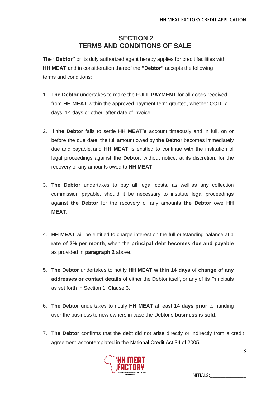# **SECTION 2 TERMS AND CONDITIONS OF SALE**

The **"Debtor"** or its duly authorized agent hereby applies for credit facilities with **HH MEAT** and in consideration thereof the **"Debtor"** accepts the following terms and conditions:

- 1. **The Debtor** undertakes to make the **FULL PAYMENT** for all goods received from **HH MEAT** within the approved payment term granted, whether COD, 7 days, 14 days or other, after date of invoice.
- 2. If **the Debtor** fails to settle **HH MEAT's** account timeously and in full, on or before the due date, the full amount owed by **the Debtor** becomes immediately due and payable, and **HH MEAT** is entitled to continue with the institution of legal proceedings against **the Debtor**, without notice, at its discretion, for the recovery of any amounts owed to **HH MEAT**.
- 3. **The Debtor** undertakes to pay all legal costs, as well as any collection commission payable, should it be necessary to institute legal proceedings against **the Debtor** for the recovery of any amounts **the Debtor** owe **HH MEAT**.
- 4. **HH MEAT** will be entitled to charge interest on the full outstanding balance at a **rate of 2% per month**, when the **principal debt becomes due and payable** as provided in **paragraph 2** above.
- 5. **The Debtor** undertakes to notify **HH MEAT within 14 days** of **change of any addresses or contact details** of either the Debtor itself, or any of its Principals as set forth in Section 1, Clause 3.
- 6. **The Debtor** undertakes to notify **HH MEAT** at least **14 days prior** to handing over the business to new owners in case the Debtor's **business is sold**.
- 7. **The Debtor** confirms that the debt did not arise directly or indirectly from a credit agreement ascontemplated in the National Credit Act 34 of 2005.



INITIALS:\_\_\_\_\_\_\_\_\_\_\_\_\_\_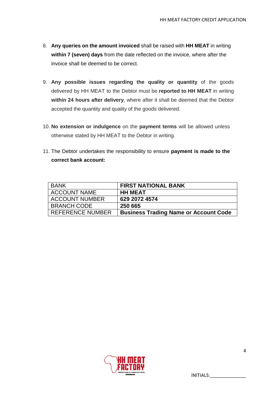- 8. **Any queries on the amount invoiced** shall be raised with **HH MEAT** in writing **within 7 (seven) days** from the date reflected on the invoice, where after the invoice shall be deemed to be correct.
- 9. **Any possible issues regarding the quality or quantity** of the goods delivered by HH MEAT to the Debtor must be **reported to HH MEAT** in writing **within 24 hours after delivery**, where after it shall be deemed that the Debtor accepted the quantity and quality of the goods delivered.
- 10. **No extension or indulgence** on the **payment terms** will be allowed unless otherwise stated by HH MEAT to the Debtor in writing.
- 11. The Debtor undertakes the responsibility to ensure **payment is made to the correct bank account:**

| <b>BANK</b>             | <b>FIRST NATIONAL BANK</b>                   |
|-------------------------|----------------------------------------------|
| <b>ACCOUNT NAME</b>     | <b>HH MEAT</b>                               |
| <b>ACCOUNT NUMBER</b>   | 629 2072 4574                                |
| <b>BRANCH CODE</b>      | 250 665                                      |
| <b>REFERENCE NUMBER</b> | <b>Business Trading Name or Account Code</b> |

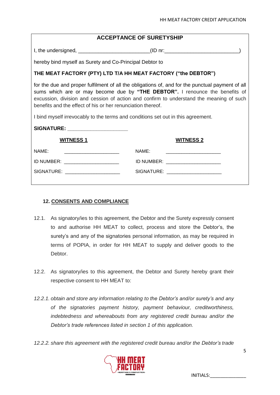I, the undersigned,  $\blacksquare$ 

hereby bind myself as Surety and Co-Principal Debtor to

### **THE MEAT FACTORY (PTY) LTD T/A HH MEAT FACTORY ("the DEBTOR")**

for the due and proper fulfilment of all the obligations of, and for the punctual payment of all sums which are or may become due by **"THE DEBTOR".** I renounce the benefits of excussion, division and cession of action and confirm to understand the meaning of such benefits and the effect of his or her renunciation thereof.

I bind myself irrevocably to the terms and conditions set out in this agreement.

| SIGNATURE: ____________________   |                                    |
|-----------------------------------|------------------------------------|
| <b>WITNESS 1</b>                  | <b>WITNESS 2</b>                   |
| NAME:                             | NAME:                              |
| ID NUMBER: ______________________ | ID NUMBER: _______________________ |
| SIGNATURE: ______________________ | SIGNATURE: _______________________ |
|                                   |                                    |

#### **12. CONSENTS AND COMPLIANCE**

- 12.1. As signatory/ies to this agreement, the Debtor and the Surety expressly consent to and authorise HH MEAT to collect, process and store the Debtor's, the surety's and any of the signatories personal information, as may be required in terms of POPIA, in order for HH MEAT to supply and deliver goods to the Debtor.
- 12.2. As signatory/ies to this agreement, the Debtor and Surety hereby grant their respective consent to HH MEAT to:
- *12.2.1. obtain and store any information relating to the Debtor's and/or surety's and any of the signatories payment history, payment behaviour, creditworthiness, indebtedness and whereabouts from any registered credit bureau and/or the Debtor's trade references listed in section 1 of this application.*
- *12.2.2. share this agreement with the registered credit bureau and/or the Debtor's trade*

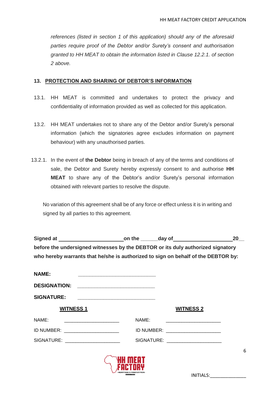*references (listed in section 1 of this application) should any of the aforesaid parties require proof of the Debtor and/or Surety's consent and authorisation granted to HH MEAT to obtain the information listed in Clause 12.2.1. of section 2 above.* 

#### **13. PROTECTION AND SHARING OF DEBTOR'S INFORMATION**

- 13.1. HH MEAT is committed and undertakes to protect the privacy and confidentiality of information provided as well as collected for this application.
- 13.2. HH MEAT undertakes not to share any of the Debtor and/or Surety's personal information (which the signatories agree excludes information on payment behaviour) with any unauthorised parties.
- 13.2.1. In the event of **the Debtor** being in breach of any of the terms and conditions of sale, the Debtor and Surety hereby expressly consent to and authorise **HH MEAT** to share any of the Debtor's and/or Surety's personal information obtained with relevant parties to resolve the dispute.

No variation of this agreement shall be of any force or effect unless it is in writing and signed by all parties to this agreement.

|                                                                                   |                                                                                                                       |                                    | 20 |
|-----------------------------------------------------------------------------------|-----------------------------------------------------------------------------------------------------------------------|------------------------------------|----|
| before the undersigned witnesses by the DEBTOR or its duly authorized signatory   |                                                                                                                       |                                    |    |
| who hereby warrants that he/she is authorized to sign on behalf of the DEBTOR by: |                                                                                                                       |                                    |    |
| <b>NAME:</b>                                                                      | <u> 1999 - Johann Barbara, martin amerikan basar dan berasal dalam basas dan berasal dalam basas dalam basas dala</u> |                                    |    |
| <b>DESIGNATION:</b>                                                               |                                                                                                                       |                                    |    |
| <b>SIGNATURE:</b>                                                                 | <u> 1989 - Johann John Harry, mars ar yw i ganwys y cyfeiriad y cyfeiriad y cyfeiriad y cyfeiriad y cyfeiriad y c</u> |                                    |    |
| <b>WITNESS 1</b>                                                                  |                                                                                                                       | <b>WITNESS 2</b>                   |    |
| NAME:                                                                             | NAME:                                                                                                                 |                                    |    |
| ID NUMBER: _________________________                                              |                                                                                                                       | ID NUMBER: ______________________  |    |
| SIGNATURE: _____________________                                                  |                                                                                                                       | SIGNATURE: _______________________ |    |
|                                                                                   |                                                                                                                       |                                    | 6  |
|                                                                                   | $\sqrt{2}$                                                                                                            |                                    |    |



INITIALS:\_\_\_\_\_\_\_\_\_\_\_\_\_\_